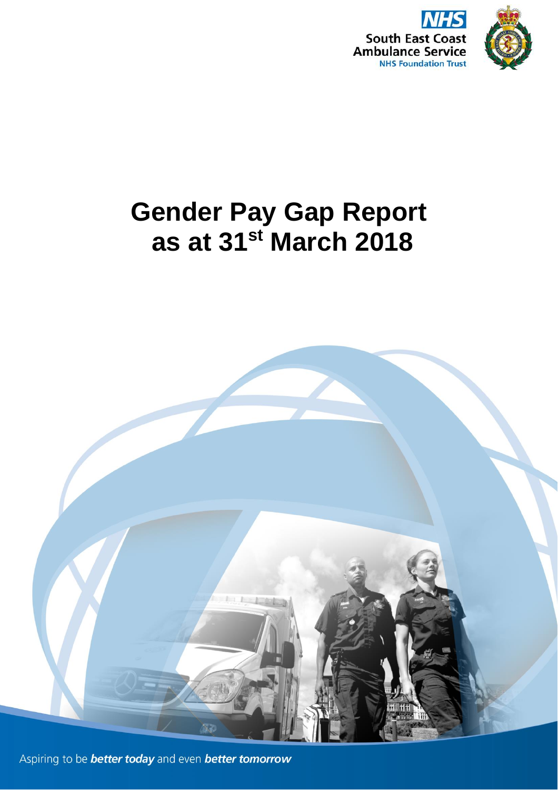

# **Gender Pay Gap Report as at 31st March 2018**



Aspiring to be **better today** and even **better tomorrow**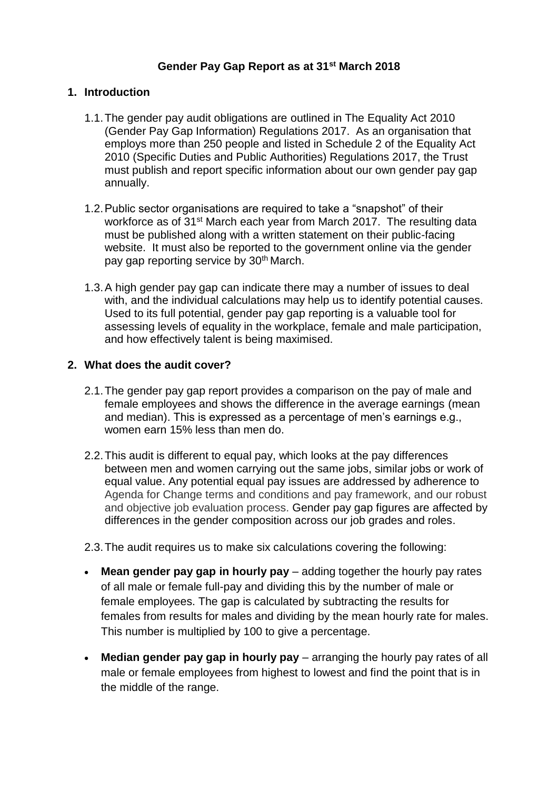# **Gender Pay Gap Report as at 31st March 2018**

## **1. Introduction**

- 1.1.The gender pay audit obligations are outlined in The Equality Act 2010 (Gender Pay Gap Information) Regulations 2017. As an organisation that employs more than 250 people and listed in Schedule 2 of the Equality Act 2010 (Specific Duties and Public Authorities) Regulations 2017, the Trust must publish and report specific information about our own gender pay gap annually.
- 1.2.Public sector organisations are required to take a "snapshot" of their workforce as of 31<sup>st</sup> March each year from March 2017. The resulting data must be published along with a written statement on their public-facing website. It must also be reported to the government online via the gender pay gap reporting service by 30<sup>th</sup> March.
- 1.3.A high gender pay gap can indicate there may a number of issues to deal with, and the individual calculations may help us to identify potential causes. Used to its full potential, gender pay gap reporting is a valuable tool for assessing levels of equality in the workplace, female and male participation, and how effectively talent is being maximised.

## **2. What does the audit cover?**

- 2.1.The gender pay gap report provides a comparison on the pay of male and female employees and shows the difference in the average earnings (mean and median). This is expressed as a percentage of men's earnings e.g., women earn 15% less than men do.
- 2.2.This audit is different to equal pay, which looks at the pay differences between men and women carrying out the same jobs, similar jobs or work of equal value. Any potential equal pay issues are addressed by adherence to Agenda for Change terms and conditions and pay framework, and our robust and obiective iob evaluation process. Gender pay gap figures are affected by differences in the gender composition across our job grades and roles.
- 2.3.The audit requires us to make six calculations covering the following:
- **Mean gender pay gap in hourly pay** adding together the hourly pay rates of all male or female full-pay and dividing this by the number of male or female employees. The gap is calculated by subtracting the results for females from results for males and dividing by the mean hourly rate for males. This number is multiplied by 100 to give a percentage.
- **Median gender pay gap in hourly pay** arranging the hourly pay rates of all male or female employees from highest to lowest and find the point that is in the middle of the range.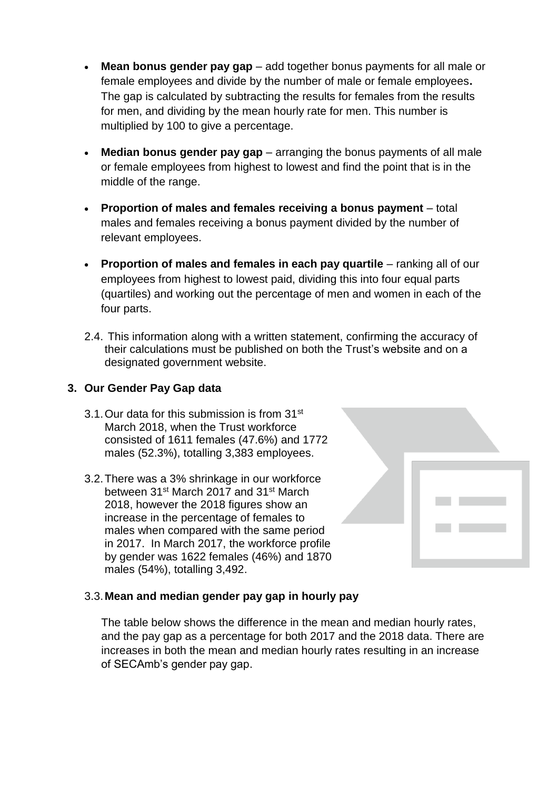- **Mean bonus gender pay gap**  add together bonus payments for all male or female employees and divide by the number of male or female employees**.** The gap is calculated by subtracting the results for females from the results for men, and dividing by the mean hourly rate for men. This number is multiplied by 100 to give a percentage.
- **Median bonus gender pay gap**  arranging the bonus payments of all male or female employees from highest to lowest and find the point that is in the middle of the range.
- **Proportion of males and females receiving a bonus payment**  total males and females receiving a bonus payment divided by the number of relevant employees.
- **Proportion of males and females in each pay quartile** ranking all of our employees from highest to lowest paid, dividing this into four equal parts (quartiles) and working out the percentage of men and women in each of the four parts.
- 2.4. This information along with a written statement, confirming the accuracy of their calculations must be published on both the Trust's website and on a designated government website.

## **3. Our Gender Pay Gap data**

- 3.1.Our data for this submission is from 31st March 2018, when the Trust workforce consisted of 1611 females (47.6%) and 1772 males (52.3%), totalling 3,383 employees.
- 3.2.There was a 3% shrinkage in our workforce between 31st March 2017 and 31st March 2018, however the 2018 figures show an increase in the percentage of females to males when compared with the same period in 2017. In March 2017, the workforce profile by gender was 1622 females (46%) and 1870 males (54%), totalling 3,492.



# 3.3.**Mean and median gender pay gap in hourly pay**

The table below shows the difference in the mean and median hourly rates, and the pay gap as a percentage for both 2017 and the 2018 data. There are increases in both the mean and median hourly rates resulting in an increase of SECAmb's gender pay gap.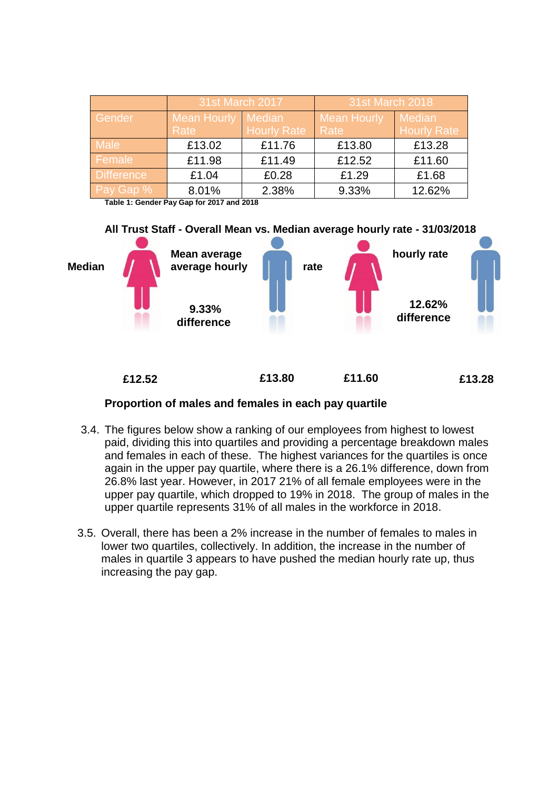|                   | 31st March 2017    |                    | 31st March 2018    |                    |  |
|-------------------|--------------------|--------------------|--------------------|--------------------|--|
| Gender            | <b>Mean Hourly</b> | Median             | <b>Mean Hourly</b> | <b>Median</b>      |  |
|                   | Rate               | <b>Hourly Rate</b> | Rate               | <b>Hourly Rate</b> |  |
| <b>Male</b>       | £13.02             | £11.76             | £13.80             | £13.28             |  |
| Female            | £11.98             | £11.49             | £12.52             | £11.60             |  |
| <b>Difference</b> | £1.04              | £0.28              | £1.29              | £1.68              |  |
| Pay Gap %         | 8.01%              | 2.38%              | 9.33%              | 12.62%             |  |

**Table 1: Gender Pay Gap for 2017 and 2018**



### **Proportion of males and females in each pay quartile**

- 3.4. The figures below show a ranking of our employees from highest to lowest paid, dividing this into quartiles and providing a percentage breakdown males and females in each of these. The highest variances for the quartiles is once again in the upper pay quartile, where there is a 26.1% difference, down from 26.8% last year. However, in 2017 21% of all female employees were in the upper pay quartile, which dropped to 19% in 2018. The group of males in the upper quartile represents 31% of all males in the workforce in 2018.
- 3.5. Overall, there has been a 2% increase in the number of females to males in lower two quartiles, collectively. In addition, the increase in the number of males in quartile 3 appears to have pushed the median hourly rate up, thus increasing the pay gap.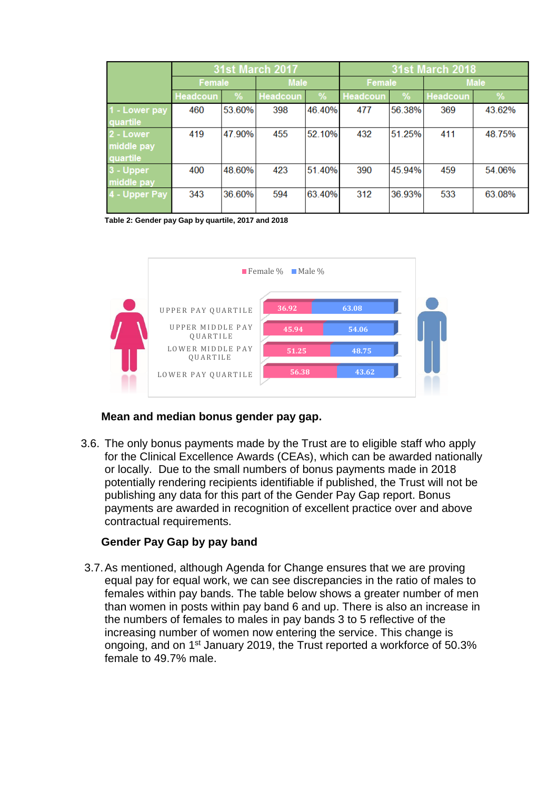|               | <b>31st March 2017</b> |        |             | <b>31st March 2018</b> |          |        |                 |        |
|---------------|------------------------|--------|-------------|------------------------|----------|--------|-----------------|--------|
|               | Female                 |        | <b>Male</b> |                        | Female   |        | <b>Male</b>     |        |
|               | Headcoun               | %      | Headcoun    | %                      | Headcoun | %      | <b>Headcoun</b> | %      |
| 1 - Lower pay | 460                    | 53.60% | 398         | 46.40%                 | 477      | 56.38% | 369             | 43.62% |
| quartile      |                        |        |             |                        |          |        |                 |        |
| 2 - Lower     | 419                    | 47.90% | 455         | 52.10%                 | 432      | 51.25% | 411             | 48.75% |
| middle pay    |                        |        |             |                        |          |        |                 |        |
| quartile      |                        |        |             |                        |          |        |                 |        |
| 3 - Upper     | 400                    | 48.60% | 423         | 51.40%                 | 390      | 45.94% | 459             | 54.06% |
| middle pay    |                        |        |             |                        |          |        |                 |        |
| 4 - Upper Pay | 343                    | 36.60% | 594         | 63.40%                 | 312      | 36.93% | 533             | 63.08% |
|               |                        |        |             |                        |          |        |                 |        |

**Table 2: Gender pay Gap by quartile, 2017 and 2018**



## **Mean and median bonus gender pay gap.**

3.6. The only bonus payments made by the Trust are to eligible staff who apply for the Clinical Excellence Awards (CEAs), which can be awarded nationally or locally. Due to the small numbers of bonus payments made in 2018 potentially rendering recipients identifiable if published, the Trust will not be publishing any data for this part of the Gender Pay Gap report. Bonus payments are awarded in recognition of excellent practice over and above contractual requirements.

## **Gender Pay Gap by pay band**

3.7.As mentioned, although Agenda for Change ensures that we are proving equal pay for equal work, we can see discrepancies in the ratio of males to females within pay bands. The table below shows a greater number of men than women in posts within pay band 6 and up. There is also an increase in the numbers of females to males in pay bands 3 to 5 reflective of the increasing number of women now entering the service. This change is ongoing, and on 1st January 2019, the Trust reported a workforce of 50.3% female to 49.7% male.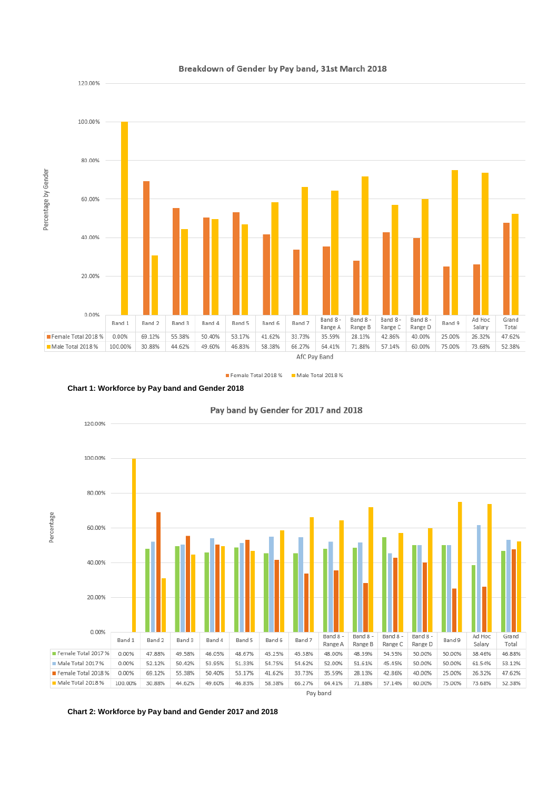

#### Breakdown of Gender by Pay band, 31st March 2018

Female Total 2018 % Male Total 2018 %



120.00%



Pay band by Gender for 2017 and 2018

**Chart 2: Workforce by Pay band and Gender 2017 and 2018**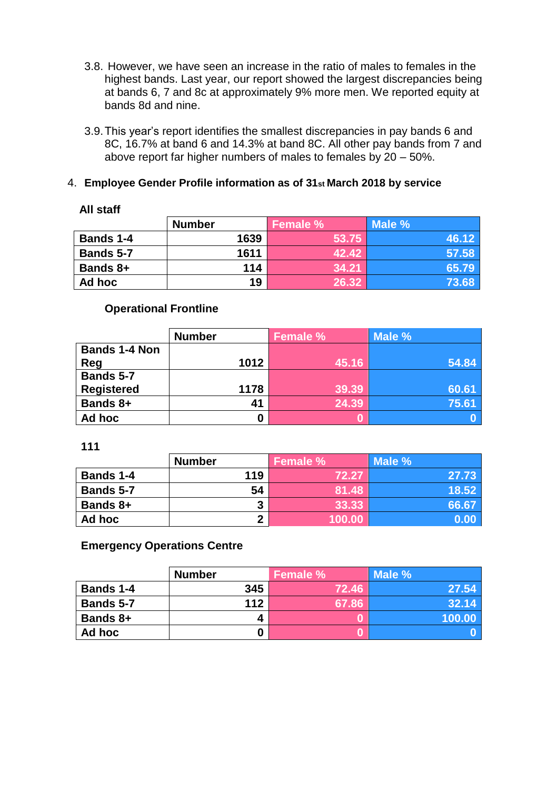- 3.8. However, we have seen an increase in the ratio of males to females in the highest bands. Last year, our report showed the largest discrepancies being at bands 6, 7 and 8c at approximately 9% more men. We reported equity at bands 8d and nine.
- 3.9.This year's report identifies the smallest discrepancies in pay bands 6 and 8C, 16.7% at band 6 and 14.3% at band 8C. All other pay bands from 7 and above report far higher numbers of males to females by 20 – 50%.

## 4. **Employee Gender Profile information as of 31st March 2018 by service**

| <b>All staff</b> |               |          |        |  |  |
|------------------|---------------|----------|--------|--|--|
|                  | <b>Number</b> | Female % | Male % |  |  |
| <b>Bands 1-4</b> | 1639          | 53.75    | 46.12  |  |  |
| <b>Bands 5-7</b> | 1611          | 42.42    | 57.58  |  |  |
| <b>Bands 8+</b>  | 114           | 34.21    | 65.79  |  |  |
| Ad hoc           | 19            | 26.32    | 73.68  |  |  |

## **Operational Frontline**

|                      | <b>Number</b> | <b>Female %</b> | Male % |
|----------------------|---------------|-----------------|--------|
| <b>Bands 1-4 Non</b> |               |                 |        |
| <b>Reg</b>           | 1012          | 45.16           | 54.84  |
| Bands 5-7            |               |                 |        |
| <b>Registered</b>    | 1178          | 39.39           | 60.61  |
| <b>Bands 8+</b>      | 41            | 24.39           | 75.61  |
| Ad hoc               | 0             |                 |        |

**111**

|                  | <b>Number</b> | Female % | Male % |
|------------------|---------------|----------|--------|
| <b>Bands 1-4</b> | 119           | 72.27    | 27.73  |
| <b>Bands 5-7</b> | 54            | 81.48    | 18.52  |
| <b>Bands 8+</b>  | 3             | 33.33    | 66.67  |
| Ad hoc           | ◠             | 100.00   | 0.00   |

## **Emergency Operations Centre**

|           | <b>Number</b> | Female % | Male % |
|-----------|---------------|----------|--------|
| Bands 1-4 | 345           | 72.46    | 27.54  |
| Bands 5-7 | 112           | 67.86    | 32.14  |
| Bands 8+  | 4             |          | 100.00 |
| Ad hoc    | O             |          |        |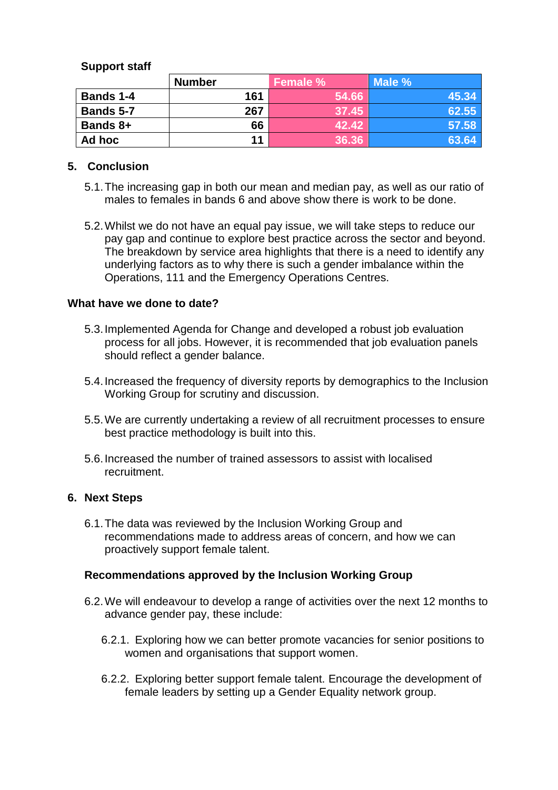# **Support staff**

|                  | <b>Number</b> | <b>Female %</b> | Male % |
|------------------|---------------|-----------------|--------|
| <b>Bands 1-4</b> | 161           | 54.66           | 45.34  |
| <b>Bands 5-7</b> | 267           | 37.45           | 62.55  |
| <b>Bands 8+</b>  | 66            | 42.42           | 57.58  |
| Ad hoc           | 11            | 36.36           | 63.64  |

## **5. Conclusion**

- 5.1.The increasing gap in both our mean and median pay, as well as our ratio of males to females in bands 6 and above show there is work to be done.
- 5.2.Whilst we do not have an equal pay issue, we will take steps to reduce our pay gap and continue to explore best practice across the sector and beyond. The breakdown by service area highlights that there is a need to identify any underlying factors as to why there is such a gender imbalance within the Operations, 111 and the Emergency Operations Centres.

## **What have we done to date?**

- 5.3.Implemented Agenda for Change and developed a robust job evaluation process for all jobs. However, it is recommended that job evaluation panels should reflect a gender balance.
- 5.4.Increased the frequency of diversity reports by demographics to the Inclusion Working Group for scrutiny and discussion.
- 5.5.We are currently undertaking a review of all recruitment processes to ensure best practice methodology is built into this.
- 5.6.Increased the number of trained assessors to assist with localised recruitment.

## **6. Next Steps**

6.1.The data was reviewed by the Inclusion Working Group and recommendations made to address areas of concern, and how we can proactively support female talent.

## **Recommendations approved by the Inclusion Working Group**

- 6.2.We will endeavour to develop a range of activities over the next 12 months to advance gender pay, these include:
	- 6.2.1. Exploring how we can better promote vacancies for senior positions to women and organisations that support women.
	- 6.2.2. Exploring better support female talent. Encourage the development of female leaders by setting up a Gender Equality network group.